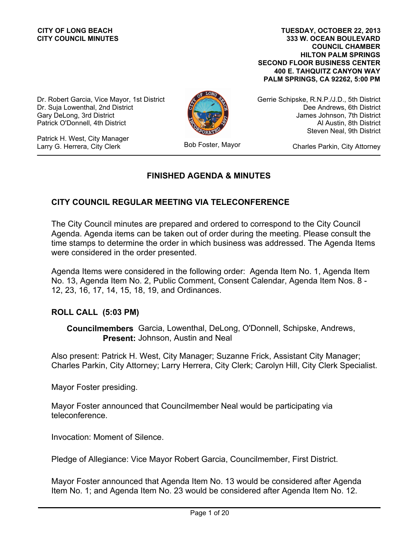**333 W. OCEAN BOULEVARD COUNCIL CHAMBER HILTON PALM SPRINGS SECOND FLOOR BUSINESS CENTER 400 E. TAHQUITZ CANYON WAY PALM SPRINGS, CA 92262, 5:00 PM TUESDAY, OCTOBER 22, 2013**

Dr. Robert Garcia, Vice Mayor, 1st District Dr. Suja Lowenthal, 2nd District Gary DeLong, 3rd District Patrick O'Donnell, 4th District

Patrick H. West, City Manager Larry G. Herrera, City Clerk



Bob Foster, Mayor

Gerrie Schipske, R.N.P./J.D., 5th District Dee Andrews, 6th District James Johnson, 7th District Al Austin, 8th District Steven Neal, 9th District

Charles Parkin, City Attorney

# **FINISHED AGENDA & MINUTES**

# **CITY COUNCIL REGULAR MEETING VIA TELECONFERENCE**

The City Council minutes are prepared and ordered to correspond to the City Council Agenda. Agenda items can be taken out of order during the meeting. Please consult the time stamps to determine the order in which business was addressed. The Agenda Items were considered in the order presented.

Agenda Items were considered in the following order: Agenda Item No. 1, Agenda Item No. 13, Agenda Item No. 2, Public Comment, Consent Calendar, Agenda Item Nos. 8 - 12, 23, 16, 17, 14, 15, 18, 19, and Ordinances.

# **ROLL CALL (5:03 PM)**

**Councilmembers** Garcia, Lowenthal, DeLong, O'Donnell, Schipske, Andrews, Present: Johnson, Austin and Neal

Also present: Patrick H. West, City Manager; Suzanne Frick, Assistant City Manager; Charles Parkin, City Attorney; Larry Herrera, City Clerk; Carolyn Hill, City Clerk Specialist.

Mayor Foster presiding.

Mayor Foster announced that Councilmember Neal would be participating via teleconference.

Invocation: Moment of Silence.

Pledge of Allegiance: Vice Mayor Robert Garcia, Councilmember, First District.

Mayor Foster announced that Agenda Item No. 13 would be considered after Agenda Item No. 1; and Agenda Item No. 23 would be considered after Agenda Item No. 12.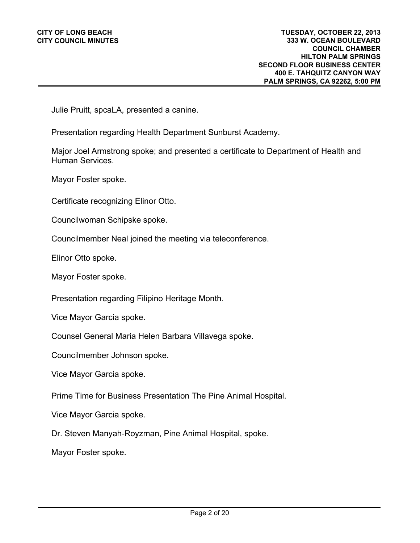Julie Pruitt, spcaLA, presented a canine.

Presentation regarding Health Department Sunburst Academy.

Major Joel Armstrong spoke; and presented a certificate to Department of Health and Human Services.

Mayor Foster spoke.

Certificate recognizing Elinor Otto.

Councilwoman Schipske spoke.

Councilmember Neal joined the meeting via teleconference.

Elinor Otto spoke.

Mayor Foster spoke.

Presentation regarding Filipino Heritage Month.

Vice Mayor Garcia spoke.

Counsel General Maria Helen Barbara Villavega spoke.

Councilmember Johnson spoke.

Vice Mayor Garcia spoke.

Prime Time for Business Presentation The Pine Animal Hospital.

Vice Mayor Garcia spoke.

Dr. Steven Manyah-Royzman, Pine Animal Hospital, spoke.

Mayor Foster spoke.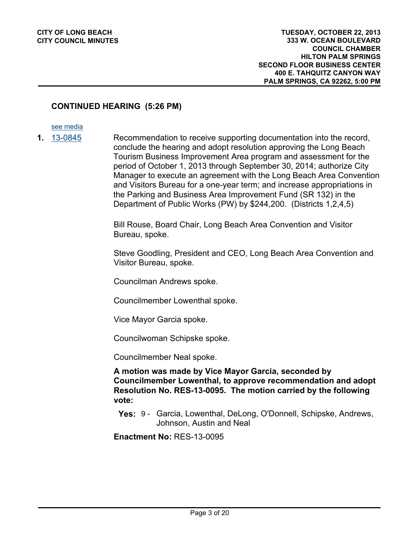# **CONTINUED HEARING (5:26 PM)**

#### [see media](http://clblegistar.longbeach.gov/medialinkgenerator/index.aspx?meid=6784&hsid=485045)

- 
- **1.** [13-0845](http://longbeach.legistar.com/gateway.aspx?M=L&ID=202006) Recommendation to receive supporting documentation into the record, conclude the hearing and adopt resolution approving the Long Beach Tourism Business Improvement Area program and assessment for the period of October 1, 2013 through September 30, 2014; authorize City Manager to execute an agreement with the Long Beach Area Convention and Visitors Bureau for a one-year term; and increase appropriations in the Parking and Business Area Improvement Fund (SR 132) in the Department of Public Works (PW) by \$244,200. (Districts 1,2,4,5)

Bill Rouse, Board Chair, Long Beach Area Convention and Visitor Bureau, spoke.

Steve Goodling, President and CEO, Long Beach Area Convention and Visitor Bureau, spoke.

Councilman Andrews spoke.

Councilmember Lowenthal spoke.

Vice Mayor Garcia spoke.

Councilwoman Schipske spoke.

Councilmember Neal spoke.

**A motion was made by Vice Mayor Garcia, seconded by Councilmember Lowenthal, to approve recommendation and adopt Resolution No. RES-13-0095. The motion carried by the following vote:**

**Yes:** 9 - Garcia, Lowenthal, DeLong, O'Donnell, Schipske, Andrews, Johnson, Austin and Neal

**Enactment No:** RES-13-0095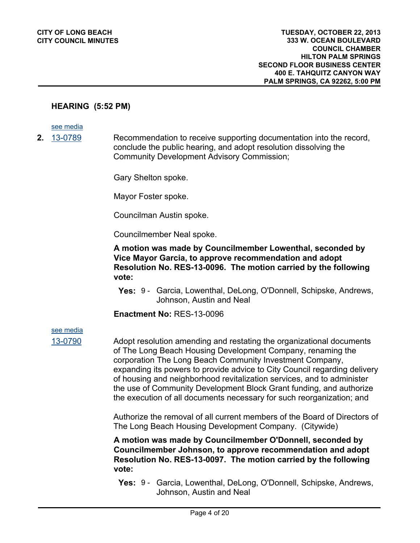#### **HEARING (5:52 PM)**

[see media](http://clblegistar.longbeach.gov/medialinkgenerator/index.aspx?meid=6784&hsid=485092)

**2.** [13-0789](http://longbeach.legistar.com/gateway.aspx?M=L&ID=201440) Recommendation to receive supporting documentation into the record, conclude the public hearing, and adopt resolution dissolving the Community Development Advisory Commission;

Gary Shelton spoke.

Mayor Foster spoke.

Councilman Austin spoke.

Councilmember Neal spoke.

**A motion was made by Councilmember Lowenthal, seconded by Vice Mayor Garcia, to approve recommendation and adopt Resolution No. RES-13-0096. The motion carried by the following vote:**

**Yes:** 9 - Garcia, Lowenthal, DeLong, O'Donnell, Schipske, Andrews, Johnson, Austin and Neal

**Enactment No:** RES-13-0096

[see media](http://clblegistar.longbeach.gov/medialinkgenerator/index.aspx?meid=6784&hsid=485093)

[13-0790](http://longbeach.legistar.com/gateway.aspx?M=L&ID=201915) Adopt resolution amending and restating the organizational documents of The Long Beach Housing Development Company, renaming the corporation The Long Beach Community Investment Company, expanding its powers to provide advice to City Council regarding delivery of housing and neighborhood revitalization services, and to administer the use of Community Development Block Grant funding, and authorize the execution of all documents necessary for such reorganization; and

> Authorize the removal of all current members of the Board of Directors of The Long Beach Housing Development Company. (Citywide)

**A motion was made by Councilmember O'Donnell, seconded by Councilmember Johnson, to approve recommendation and adopt Resolution No. RES-13-0097. The motion carried by the following vote:**

**Yes:** 9 - Garcia, Lowenthal, DeLong, O'Donnell, Schipske, Andrews, Johnson, Austin and Neal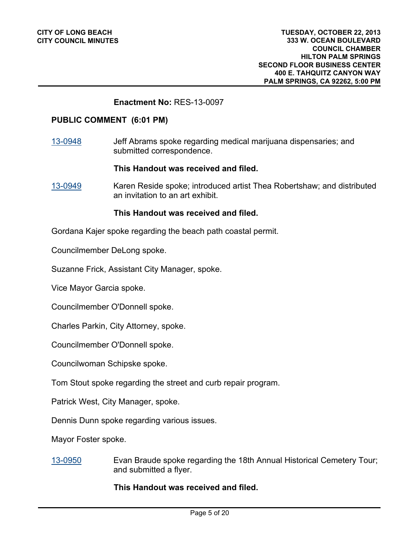#### **Enactment No:** RES-13-0097

#### **PUBLIC COMMENT (6:01 PM)**

[13-0948](http://longbeach.legistar.com/gateway.aspx?M=L&ID=202299) Jeff Abrams spoke regarding medical marijuana dispensaries; and submitted correspondence.

**This Handout was received and filed.**

[13-0949](http://longbeach.legistar.com/gateway.aspx?M=L&ID=202300) Karen Reside spoke; introduced artist Thea Robertshaw; and distributed an invitation to an art exhibit.

#### **This Handout was received and filed.**

Gordana Kajer spoke regarding the beach path coastal permit.

Councilmember DeLong spoke.

Suzanne Frick, Assistant City Manager, spoke.

Vice Mayor Garcia spoke.

Councilmember O'Donnell spoke.

Charles Parkin, City Attorney, spoke.

Councilmember O'Donnell spoke.

Councilwoman Schipske spoke.

Tom Stout spoke regarding the street and curb repair program.

Patrick West, City Manager, spoke.

Dennis Dunn spoke regarding various issues.

Mayor Foster spoke.

[13-0950](http://longbeach.legistar.com/gateway.aspx?M=L&ID=202301) Evan Braude spoke regarding the 18th Annual Historical Cemetery Tour; and submitted a flyer.

**This Handout was received and filed.**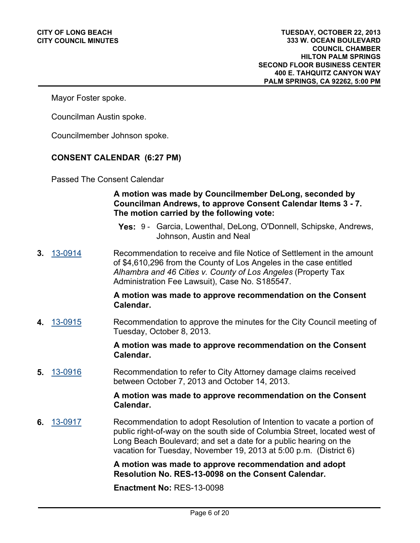Mayor Foster spoke.

Councilman Austin spoke.

Councilmember Johnson spoke.

#### **CONSENT CALENDAR (6:27 PM)**

Passed The Consent Calendar

# **A motion was made by Councilmember DeLong, seconded by Councilman Andrews, to approve Consent Calendar Items 3 - 7. The motion carried by the following vote:**

- **Yes:** 9 Garcia, Lowenthal, DeLong, O'Donnell, Schipske, Andrews, Johnson, Austin and Neal
- **3.** [13-0914](http://longbeach.legistar.com/gateway.aspx?M=L&ID=202207) Recommendation to receive and file Notice of Settlement in the amount of \$4,610,296 from the County of Los Angeles in the case entitled *Alhambra and 46 Cities v. County of Los Angeles* (Property Tax Administration Fee Lawsuit), Case No. S185547.

#### **A motion was made to approve recommendation on the Consent Calendar.**

**4.** [13-0915](http://longbeach.legistar.com/gateway.aspx?M=L&ID=202209) Recommendation to approve the minutes for the City Council meeting of Tuesday, October 8, 2013.

> **A motion was made to approve recommendation on the Consent Calendar.**

**5.** [13-0916](http://longbeach.legistar.com/gateway.aspx?M=L&ID=202210) Recommendation to refer to City Attorney damage claims received between October 7, 2013 and October 14, 2013.

#### **A motion was made to approve recommendation on the Consent Calendar.**

**6.** [13-0917](http://longbeach.legistar.com/gateway.aspx?M=L&ID=202152) Recommendation to adopt Resolution of Intention to vacate a portion of public right-of-way on the south side of Columbia Street, located west of Long Beach Boulevard; and set a date for a public hearing on the vacation for Tuesday, November 19, 2013 at 5:00 p.m. (District 6)

> **A motion was made to approve recommendation and adopt Resolution No. RES-13-0098 on the Consent Calendar.**

**Enactment No:** RES-13-0098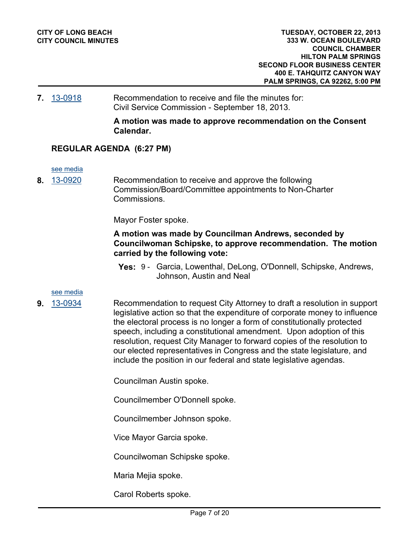#### **7.** [13-0918](http://longbeach.legistar.com/gateway.aspx?M=L&ID=202223) Recommendation to receive and file the minutes for: Civil Service Commission - September 18, 2013.

**A motion was made to approve recommendation on the Consent Calendar.**

# **REGULAR AGENDA (6:27 PM)**

[see media](http://clblegistar.longbeach.gov/medialinkgenerator/index.aspx?meid=6784&hsid=485139)

**8.** [13-0920](http://longbeach.legistar.com/gateway.aspx?M=L&ID=202230) Recommendation to receive and approve the following Commission/Board/Committee appointments to Non-Charter Commissions.

Mayor Foster spoke.

# **A motion was made by Councilman Andrews, seconded by Councilwoman Schipske, to approve recommendation. The motion carried by the following vote:**

**Yes:** 9 - Garcia, Lowenthal, DeLong, O'Donnell, Schipske, Andrews, Johnson, Austin and Neal

#### [see media](http://clblegistar.longbeach.gov/medialinkgenerator/index.aspx?meid=6784&hsid=485059)

- 
- **9.** [13-0934](http://longbeach.legistar.com/gateway.aspx?M=L&ID=202237) Recommendation to request City Attorney to draft a resolution in support legislative action so that the expenditure of corporate money to influence the electoral process is no longer a form of constitutionally protected speech, including a constitutional amendment. Upon adoption of this resolution, request City Manager to forward copies of the resolution to our elected representatives in Congress and the state legislature, and include the position in our federal and state legislative agendas.

Councilman Austin spoke.

Councilmember O'Donnell spoke.

Councilmember Johnson spoke.

Vice Mayor Garcia spoke.

Councilwoman Schipske spoke.

Maria Mejia spoke.

Carol Roberts spoke.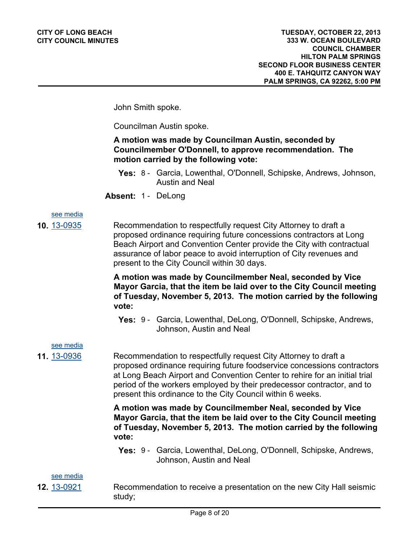John Smith spoke.

Councilman Austin spoke.

# **A motion was made by Councilman Austin, seconded by Councilmember O'Donnell, to approve recommendation. The motion carried by the following vote:**

- **Yes:** 8 Garcia, Lowenthal, O'Donnell, Schipske, Andrews, Johnson, Austin and Neal
- **Absent:** 1 DeLong

# [see media](http://clblegistar.longbeach.gov/medialinkgenerator/index.aspx?meid=6784&hsid=485060)

**10.** [13-0935](http://longbeach.legistar.com/gateway.aspx?M=L&ID=202239) Recommendation to respectfully request City Attorney to draft a proposed ordinance requiring future concessions contractors at Long Beach Airport and Convention Center provide the City with contractual assurance of labor peace to avoid interruption of City revenues and present to the City Council within 30 days.

> **A motion was made by Councilmember Neal, seconded by Vice Mayor Garcia, that the item be laid over to the City Council meeting of Tuesday, November 5, 2013. The motion carried by the following vote:**

**Yes:** 9 - Garcia, Lowenthal, DeLong, O'Donnell, Schipske, Andrews, Johnson, Austin and Neal

[see media](http://clblegistar.longbeach.gov/medialinkgenerator/index.aspx?meid=6784&hsid=485061)

**11.** [13-0936](http://longbeach.legistar.com/gateway.aspx?M=L&ID=202240) Recommendation to respectfully request City Attorney to draft a proposed ordinance requiring future foodservice concessions contractors at Long Beach Airport and Convention Center to rehire for an initial trial period of the workers employed by their predecessor contractor, and to present this ordinance to the City Council within 6 weeks.

> **A motion was made by Councilmember Neal, seconded by Vice Mayor Garcia, that the item be laid over to the City Council meeting of Tuesday, November 5, 2013. The motion carried by the following vote:**

**Yes:** 9 - Garcia, Lowenthal, DeLong, O'Donnell, Schipske, Andrews, Johnson, Austin and Neal

[see media](http://clblegistar.longbeach.gov/medialinkgenerator/index.aspx?meid=6784&hsid=485062)

- 
- **12.** [13-0921](http://longbeach.legistar.com/gateway.aspx?M=L&ID=202186) Recommendation to receive a presentation on the new City Hall seismic study;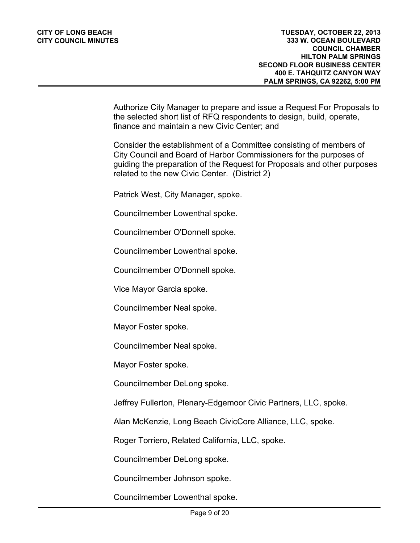Authorize City Manager to prepare and issue a Request For Proposals to the selected short list of RFQ respondents to design, build, operate, finance and maintain a new Civic Center; and

Consider the establishment of a Committee consisting of members of City Council and Board of Harbor Commissioners for the purposes of guiding the preparation of the Request for Proposals and other purposes related to the new Civic Center. (District 2)

Patrick West, City Manager, spoke.

Councilmember Lowenthal spoke.

Councilmember O'Donnell spoke.

Councilmember Lowenthal spoke.

Councilmember O'Donnell spoke.

Vice Mayor Garcia spoke.

Councilmember Neal spoke.

Mayor Foster spoke.

Councilmember Neal spoke.

Mayor Foster spoke.

Councilmember DeLong spoke.

Jeffrey Fullerton, Plenary-Edgemoor Civic Partners, LLC, spoke.

Alan McKenzie, Long Beach CivicCore Alliance, LLC, spoke.

Roger Torriero, Related California, LLC, spoke.

Councilmember DeLong spoke.

Councilmember Johnson spoke.

Councilmember Lowenthal spoke.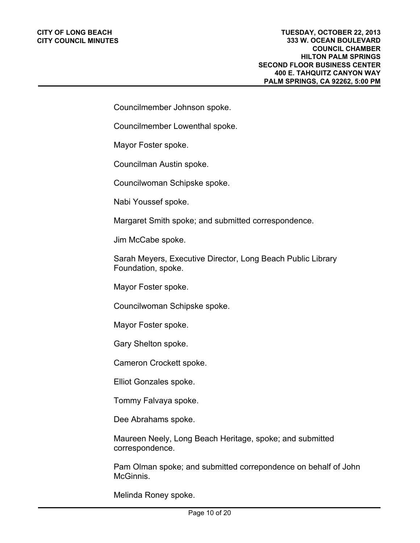Councilmember Johnson spoke.

Councilmember Lowenthal spoke.

Mayor Foster spoke.

Councilman Austin spoke.

Councilwoman Schipske spoke.

Nabi Youssef spoke.

Margaret Smith spoke; and submitted correspondence.

Jim McCabe spoke.

Sarah Meyers, Executive Director, Long Beach Public Library Foundation, spoke.

Mayor Foster spoke.

Councilwoman Schipske spoke.

Mayor Foster spoke.

Gary Shelton spoke.

Cameron Crockett spoke.

Elliot Gonzales spoke.

Tommy Falvaya spoke.

Dee Abrahams spoke.

Maureen Neely, Long Beach Heritage, spoke; and submitted correspondence.

Pam Olman spoke; and submitted correpondence on behalf of John McGinnis.

Melinda Roney spoke.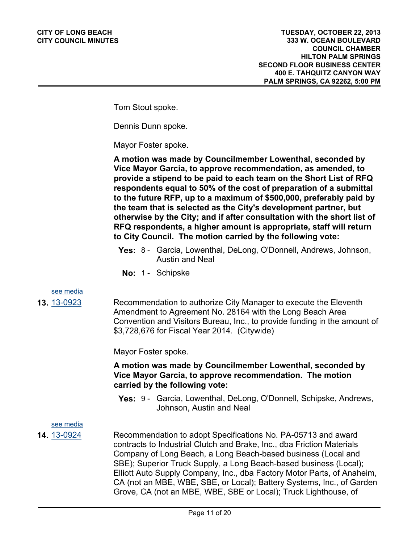Tom Stout spoke.

Dennis Dunn spoke.

Mayor Foster spoke.

**A motion was made by Councilmember Lowenthal, seconded by Vice Mayor Garcia, to approve recommendation, as amended, to provide a stipend to be paid to each team on the Short List of RFQ respondents equal to 50% of the cost of preparation of a submittal to the future RFP, up to a maximum of \$500,000, preferably paid by the team that is selected as the City's development partner, but otherwise by the City; and if after consultation with the short list of RFQ respondents, a higher amount is appropriate, staff will return to City Council. The motion carried by the following vote:**

- **Yes:** 8 Garcia, Lowenthal, DeLong, O'Donnell, Andrews, Johnson, Austin and Neal
- **No:** 1 Schipske

#### [see media](http://clblegistar.longbeach.gov/medialinkgenerator/index.aspx?meid=6784&hsid=485063)

**13.** [13-0923](http://longbeach.legistar.com/gateway.aspx?M=L&ID=202144) Recommendation to authorize City Manager to execute the Eleventh Amendment to Agreement No. 28164 with the Long Beach Area Convention and Visitors Bureau, Inc., to provide funding in the amount of \$3,728,676 for Fiscal Year 2014. (Citywide)

Mayor Foster spoke.

# **A motion was made by Councilmember Lowenthal, seconded by Vice Mayor Garcia, to approve recommendation. The motion carried by the following vote:**

**Yes:** 9 - Garcia, Lowenthal, DeLong, O'Donnell, Schipske, Andrews, Johnson, Austin and Neal

[see media](http://clblegistar.longbeach.gov/medialinkgenerator/index.aspx?meid=6784&hsid=485064)

**14.** [13-0924](http://longbeach.legistar.com/gateway.aspx?M=L&ID=202146) Recommendation to adopt Specifications No. PA-05713 and award contracts to Industrial Clutch and Brake, Inc., dba Friction Materials Company of Long Beach, a Long Beach-based business (Local and SBE); Superior Truck Supply, a Long Beach-based business (Local); Elliott Auto Supply Company, Inc., dba Factory Motor Parts, of Anaheim, CA (not an MBE, WBE, SBE, or Local); Battery Systems, Inc., of Garden Grove, CA (not an MBE, WBE, SBE or Local); Truck Lighthouse, of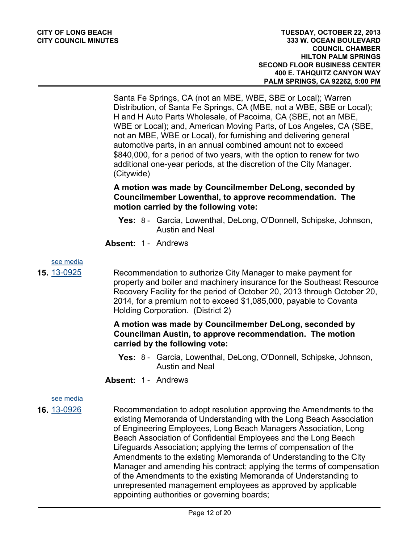Santa Fe Springs, CA (not an MBE, WBE, SBE or Local); Warren Distribution, of Santa Fe Springs, CA (MBE, not a WBE, SBE or Local); H and H Auto Parts Wholesale, of Pacoima, CA (SBE, not an MBE, WBE or Local); and, American Moving Parts, of Los Angeles, CA (SBE, not an MBE, WBE or Local), for furnishing and delivering general automotive parts, in an annual combined amount not to exceed \$840,000, for a period of two years, with the option to renew for two additional one-year periods, at the discretion of the City Manager. (Citywide)

# **A motion was made by Councilmember DeLong, seconded by Councilmember Lowenthal, to approve recommendation. The motion carried by the following vote:**

- **Yes:** 8 Garcia, Lowenthal, DeLong, O'Donnell, Schipske, Johnson, Austin and Neal
- **Absent:** 1 Andrews

[see media](http://clblegistar.longbeach.gov/medialinkgenerator/index.aspx?meid=6784&hsid=485065)

**15.** [13-0925](http://longbeach.legistar.com/gateway.aspx?M=L&ID=202150) Recommendation to authorize City Manager to make payment for property and boiler and machinery insurance for the Southeast Resource Recovery Facility for the period of October 20, 2013 through October 20, 2014, for a premium not to exceed \$1,085,000, payable to Covanta Holding Corporation. (District 2)

# **A motion was made by Councilmember DeLong, seconded by Councilman Austin, to approve recommendation. The motion carried by the following vote:**

- **Yes:** 8 Garcia, Lowenthal, DeLong, O'Donnell, Schipske, Johnson, Austin and Neal
- **Absent:** 1 Andrews

# [see media](http://clblegistar.longbeach.gov/medialinkgenerator/index.aspx?meid=6784&hsid=485066)

**16.** [13-0926](http://longbeach.legistar.com/gateway.aspx?M=L&ID=202147) Recommendation to adopt resolution approving the Amendments to the existing Memoranda of Understanding with the Long Beach Association of Engineering Employees, Long Beach Managers Association, Long Beach Association of Confidential Employees and the Long Beach Lifeguards Association; applying the terms of compensation of the Amendments to the existing Memoranda of Understanding to the City Manager and amending his contract; applying the terms of compensation of the Amendments to the existing Memoranda of Understanding to unrepresented management employees as approved by applicable appointing authorities or governing boards;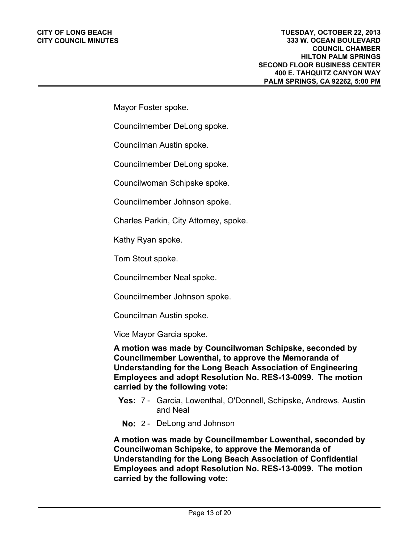#### **CITY OF LONG BEACH CITY COUNCIL MINUTES**

Mayor Foster spoke.

Councilmember DeLong spoke.

Councilman Austin spoke.

Councilmember DeLong spoke.

Councilwoman Schipske spoke.

Councilmember Johnson spoke.

Charles Parkin, City Attorney, spoke.

Kathy Ryan spoke.

Tom Stout spoke.

Councilmember Neal spoke.

Councilmember Johnson spoke.

Councilman Austin spoke.

Vice Mayor Garcia spoke.

**A motion was made by Councilwoman Schipske, seconded by Councilmember Lowenthal, to approve the Memoranda of Understanding for the Long Beach Association of Engineering Employees and adopt Resolution No. RES-13-0099. The motion carried by the following vote:**

- **Yes:** 7 Garcia, Lowenthal, O'Donnell, Schipske, Andrews, Austin and Neal
- **No:** 2 DeLong and Johnson

**A motion was made by Councilmember Lowenthal, seconded by Councilwoman Schipske, to approve the Memoranda of Understanding for the Long Beach Association of Confidential Employees and adopt Resolution No. RES-13-0099. The motion carried by the following vote:**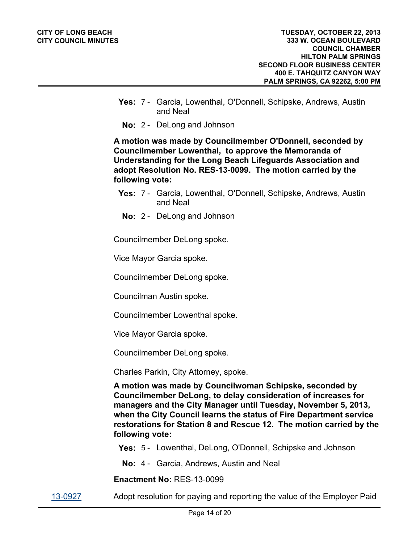- **Yes:** 7 Garcia, Lowenthal, O'Donnell, Schipske, Andrews, Austin and Neal
- **No:** 2 DeLong and Johnson

**A motion was made by Councilmember O'Donnell, seconded by Councilmember Lowenthal, to approve the Memoranda of Understanding for the Long Beach Lifeguards Association and adopt Resolution No. RES-13-0099. The motion carried by the following vote:**

- **Yes:** 7 Garcia, Lowenthal, O'Donnell, Schipske, Andrews, Austin and Neal
- **No:** 2 DeLong and Johnson

Councilmember DeLong spoke.

Vice Mayor Garcia spoke.

Councilmember DeLong spoke.

Councilman Austin spoke.

Councilmember Lowenthal spoke.

Vice Mayor Garcia spoke.

Councilmember DeLong spoke.

Charles Parkin, City Attorney, spoke.

**A motion was made by Councilwoman Schipske, seconded by Councilmember DeLong, to delay consideration of increases for managers and the City Manager until Tuesday, November 5, 2013, when the City Council learns the status of Fire Department service restorations for Station 8 and Rescue 12. The motion carried by the following vote:**

**Yes:** 5 - Lowenthal, DeLong, O'Donnell, Schipske and Johnson

**No:** 4 - Garcia, Andrews, Austin and Neal

**Enactment No:** RES-13-0099

[13-0927](http://longbeach.legistar.com/gateway.aspx?M=L&ID=202233) Adopt resolution for paying and reporting the value of the Employer Paid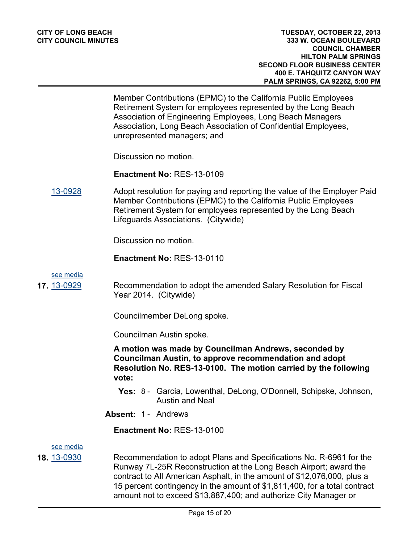Member Contributions (EPMC) to the California Public Employees Retirement System for employees represented by the Long Beach Association of Engineering Employees, Long Beach Managers Association, Long Beach Association of Confidential Employees, unrepresented managers; and

Discussion no motion.

**Enactment No:** RES-13-0109

[13-0928](http://longbeach.legistar.com/gateway.aspx?M=L&ID=202235) Adopt resolution for paying and reporting the value of the Employer Paid Member Contributions (EPMC) to the California Public Employees Retirement System for employees represented by the Long Beach Lifeguards Associations. (Citywide)

Discussion no motion.

**Enactment No:** RES-13-0110

[see media](http://clblegistar.longbeach.gov/medialinkgenerator/index.aspx?meid=6784&hsid=485069)

**17.** [13-0929](http://longbeach.legistar.com/gateway.aspx?M=L&ID=202148) Recommendation to adopt the amended Salary Resolution for Fiscal Year 2014. (Citywide)

Councilmember DeLong spoke.

Councilman Austin spoke.

**A motion was made by Councilman Andrews, seconded by Councilman Austin, to approve recommendation and adopt Resolution No. RES-13-0100. The motion carried by the following vote:**

- **Yes:** 8 Garcia, Lowenthal, DeLong, O'Donnell, Schipske, Johnson, Austin and Neal
- **Absent:** 1 Andrews

**Enactment No:** RES-13-0100

[see media](http://clblegistar.longbeach.gov/medialinkgenerator/index.aspx?meid=6784&hsid=485070)

**18.** [13-0930](http://longbeach.legistar.com/gateway.aspx?M=L&ID=202151) Recommendation to adopt Plans and Specifications No. R-6961 for the Runway 7L-25R Reconstruction at the Long Beach Airport; award the contract to All American Asphalt, in the amount of \$12,076,000, plus a 15 percent contingency in the amount of \$1,811,400, for a total contract amount not to exceed \$13,887,400; and authorize City Manager or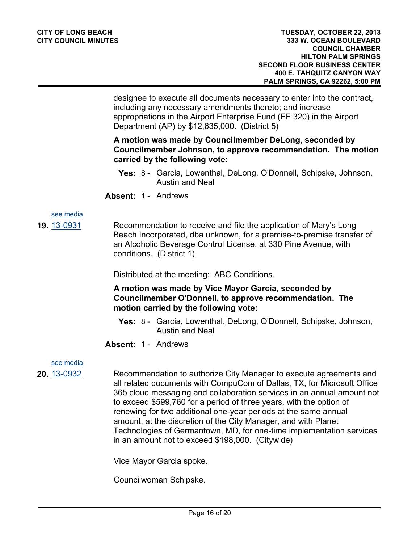designee to execute all documents necessary to enter into the contract, including any necessary amendments thereto; and increase appropriations in the Airport Enterprise Fund (EF 320) in the Airport Department (AP) by \$12,635,000. (District 5)

# **A motion was made by Councilmember DeLong, seconded by Councilmember Johnson, to approve recommendation. The motion carried by the following vote:**

- **Yes:** 8 Garcia, Lowenthal, DeLong, O'Donnell, Schipske, Johnson, Austin and Neal
- **Absent:** 1 Andrews

# [see media](http://clblegistar.longbeach.gov/medialinkgenerator/index.aspx?meid=6784&hsid=485071)

**19.** [13-0931](http://longbeach.legistar.com/gateway.aspx?M=L&ID=202184) Recommendation to receive and file the application of Mary's Long Beach Incorporated, dba unknown, for a premise-to-premise transfer of an Alcoholic Beverage Control License, at 330 Pine Avenue, with conditions. (District 1)

Distributed at the meeting: ABC Conditions.

# **A motion was made by Vice Mayor Garcia, seconded by Councilmember O'Donnell, to approve recommendation. The motion carried by the following vote:**

- **Yes:** 8 Garcia, Lowenthal, DeLong, O'Donnell, Schipske, Johnson, Austin and Neal
- **Absent:** 1 Andrews

# [see media](http://clblegistar.longbeach.gov/medialinkgenerator/index.aspx?meid=6784&hsid=485072)

**20.** [13-0932](http://longbeach.legistar.com/gateway.aspx?M=L&ID=202153) Recommendation to authorize City Manager to execute agreements and all related documents with CompuCom of Dallas, TX, for Microsoft Office 365 cloud messaging and collaboration services in an annual amount not to exceed \$599,760 for a period of three years, with the option of renewing for two additional one-year periods at the same annual amount, at the discretion of the City Manager, and with Planet Technologies of Germantown, MD, for one-time implementation services in an amount not to exceed \$198,000. (Citywide)

Vice Mayor Garcia spoke.

Councilwoman Schipske.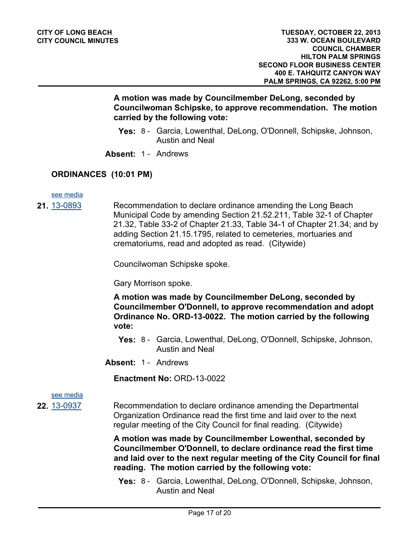# **A motion was made by Councilmember DeLong, seconded by Councilwoman Schipske, to approve recommendation. The motion carried by the following vote:**

- **Yes:** 8 Garcia, Lowenthal, DeLong, O'Donnell, Schipske, Johnson, Austin and Neal
- **Absent:** 1 Andrews

# **ORDINANCES (10:01 PM)**

[see media](http://clblegistar.longbeach.gov/medialinkgenerator/index.aspx?meid=6784&hsid=485281)

**21.** [13-0893](http://longbeach.legistar.com/gateway.aspx?M=L&ID=202095) Recommendation to declare ordinance amending the Long Beach Municipal Code by amending Section 21.52.211, Table 32-1 of Chapter 21.32, Table 33-2 of Chapter 21.33, Table 34-1 of Chapter 21.34; and by adding Section 21.15.1795, related to cemeteries, mortuaries and crematoriums, read and adopted as read. (Citywide)

Councilwoman Schipske spoke.

Gary Morrison spoke.

**A motion was made by Councilmember DeLong, seconded by Councilmember O'Donnell, to approve recommendation and adopt Ordinance No. ORD-13-0022. The motion carried by the following vote:**

- **Yes:** 8 Garcia, Lowenthal, DeLong, O'Donnell, Schipske, Johnson, Austin and Neal
- **Absent:** 1 Andrews

**Enactment No:** ORD-13-0022

[see media](http://clblegistar.longbeach.gov/medialinkgenerator/index.aspx?meid=6784&hsid=485277)

**22.** [13-0937](http://longbeach.legistar.com/gateway.aspx?M=L&ID=202149) Recommendation to declare ordinance amending the Departmental Organization Ordinance read the first time and laid over to the next regular meeting of the City Council for final reading. (Citywide)

> **A motion was made by Councilmember Lowenthal, seconded by Councilmember O'Donnell, to declare ordinance read the first time and laid over to the next regular meeting of the City Council for final reading. The motion carried by the following vote:**

**Yes:** 8 - Garcia, Lowenthal, DeLong, O'Donnell, Schipske, Johnson, Austin and Neal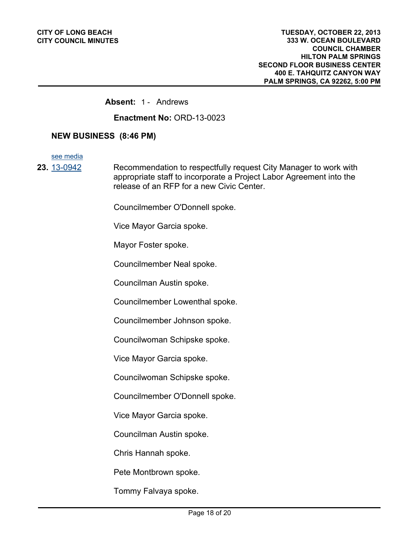## **Absent:** 1 - Andrews

**Enactment No:** ORD-13-0023

## **NEW BUSINESS (8:46 PM)**

[see media](http://clblegistar.longbeach.gov/medialinkgenerator/index.aspx?meid=6784&hsid=485201)

**23.** [13-0942](http://longbeach.legistar.com/gateway.aspx?M=L&ID=202272) Recommendation to respectfully request City Manager to work with appropriate staff to incorporate a Project Labor Agreement into the release of an RFP for a new Civic Center.

Councilmember O'Donnell spoke.

Vice Mayor Garcia spoke.

Mayor Foster spoke.

Councilmember Neal spoke.

Councilman Austin spoke.

Councilmember Lowenthal spoke.

Councilmember Johnson spoke.

Councilwoman Schipske spoke.

Vice Mayor Garcia spoke.

Councilwoman Schipske spoke.

Councilmember O'Donnell spoke.

Vice Mayor Garcia spoke.

Councilman Austin spoke.

Chris Hannah spoke.

Pete Montbrown spoke.

Tommy Falvaya spoke.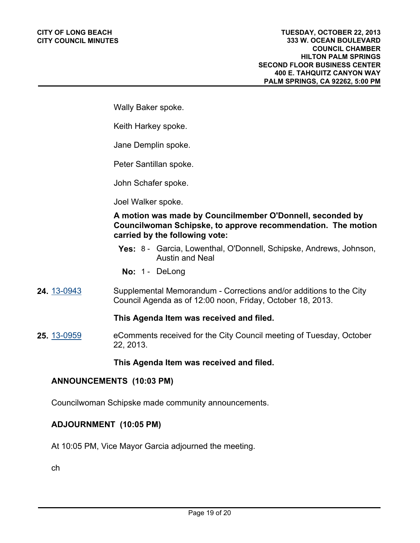Wally Baker spoke.

Keith Harkey spoke.

Jane Demplin spoke.

Peter Santillan spoke.

John Schafer spoke.

Joel Walker spoke.

# **A motion was made by Councilmember O'Donnell, seconded by Councilwoman Schipske, to approve recommendation. The motion carried by the following vote:**

**Yes:** 8 - Garcia, Lowenthal, O'Donnell, Schipske, Andrews, Johnson, Austin and Neal

**No:** 1 - DeLong

**24.** [13-0943](http://longbeach.legistar.com/gateway.aspx?M=L&ID=202273) Supplemental Memorandum - Corrections and/or additions to the City Council Agenda as of 12:00 noon, Friday, October 18, 2013.

#### **This Agenda Item was received and filed.**

**25.** [13-0959](http://longbeach.legistar.com/gateway.aspx?M=L&ID=202309) eComments received for the City Council meeting of Tuesday, October 22, 2013.

#### **This Agenda Item was received and filed.**

## **ANNOUNCEMENTS (10:03 PM)**

Councilwoman Schipske made community announcements.

#### **ADJOURNMENT (10:05 PM)**

At 10:05 PM, Vice Mayor Garcia adjourned the meeting.

ch